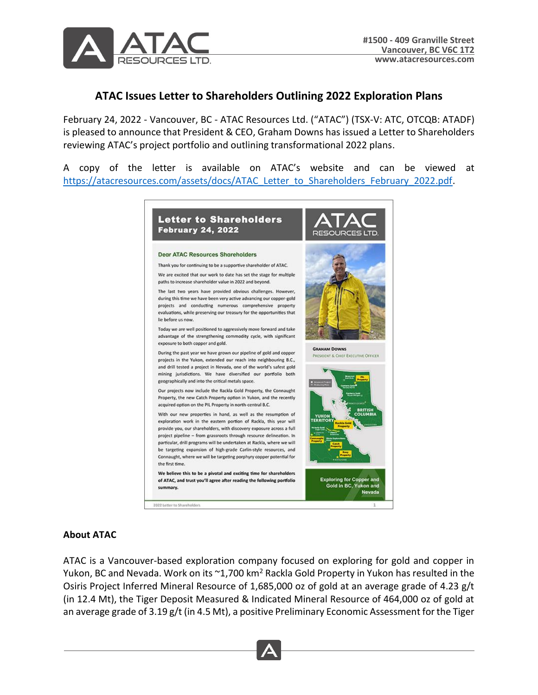

## **ATAC Issues Letter to Shareholders Outlining 2022 Exploration Plans**

February 24, 2022 - Vancouver, BC - ATAC Resources Ltd. ("ATAC") (TSX-V: ATC, OTCQB: ATADF) is pleased to announce that President & CEO, Graham Downs has issued a Letter to Shareholders reviewing ATAC's project portfolio and outlining transformational 2022 plans.

A copy of the letter is available on ATAC's website and can be viewed at [https://atacresources.com/assets/docs/ATAC\\_Letter\\_to\\_Shareholders\\_February\\_2022.pdf.](https://atacresources.com/assets/docs/ATAC_Letter_to_Shareholders_February_2022.pdf)



## **About ATAC**

ATAC is a Vancouver-based exploration company focused on exploring for gold and copper in Yukon, BC and Nevada. Work on its  $\sim$ 1,700 km<sup>2</sup> Rackla Gold Property in Yukon has resulted in the Osiris Project Inferred Mineral Resource of 1,685,000 oz of gold at an average grade of 4.23 g/t (in 12.4 Mt), the Tiger Deposit Measured & Indicated Mineral Resource of 464,000 oz of gold at an average grade of 3.19 g/t (in 4.5 Mt), a positive Preliminary Economic Assessment for the Tiger